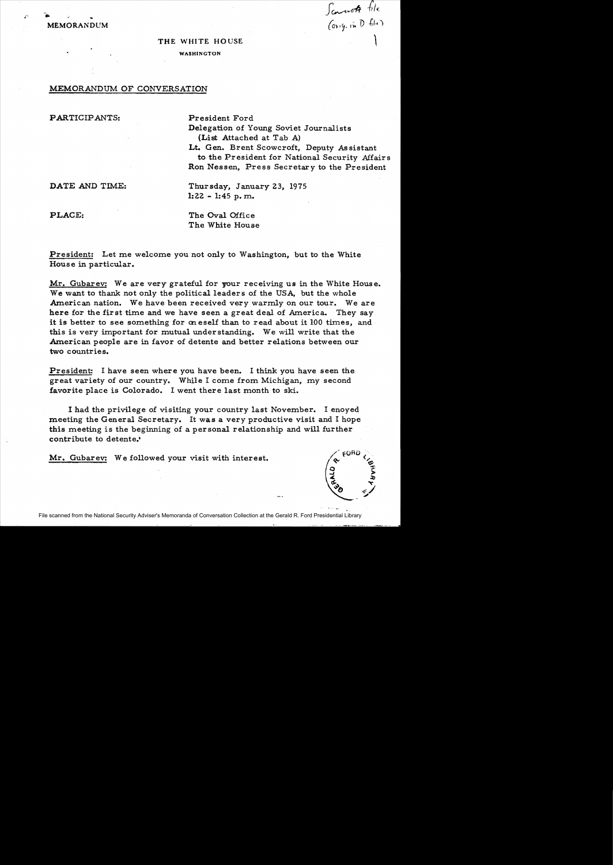**MEMORANDUM**  $(\alpha_{\text{y}})$   $(\alpha_{\text{y}})$   $(\alpha_{\text{y}})$ 

## THE WHITE HOUSE

## WASHINGTON

## MEMORANDUM OF CONVERSATION

PARTICIPANTS: President Ford

Delegation of Young Soviet Journalists (List Attached at Tab A) Lt. Gen. Brent Scowcroft, Deputy As sistant

to the President for National Security Affairs Ron Nessen, Press Secretary to the President

Scanot file

DATE AND TIME: Thursday, January 23, 1975 1:22 - 1:45 p. m.

PLACE: The Oval Office The White House

President: Let me welcome you not only to Washington, but to the White House in particular.

Mr. Gubarev: We are very grateful for your receiving us in the White House. We want to thank not only the political leaders of the USA, but the whole American nation. We have been received very warmly on our tour. We are here for the first time and we have seen a great deal of America. They say it is better to see something for on eself than to read about it 100 times, and this is very important for mutual understanding. We will write that the American people are in favor of detente and better relations between our two countries.

President: I have seen where you have been. I think you have seen the great variety of our country. While I come from Michigan, my second favorite place is Colorado. I went there last month to ski.

I had the privilege of visiting your country last November. I enoyed meeting the General Secretary. It was a very productive visit and I hope this meeting is the beginning of a personal relationship and will further contribute to detente.·

Mr. Gubarev: We followed your visit with interest.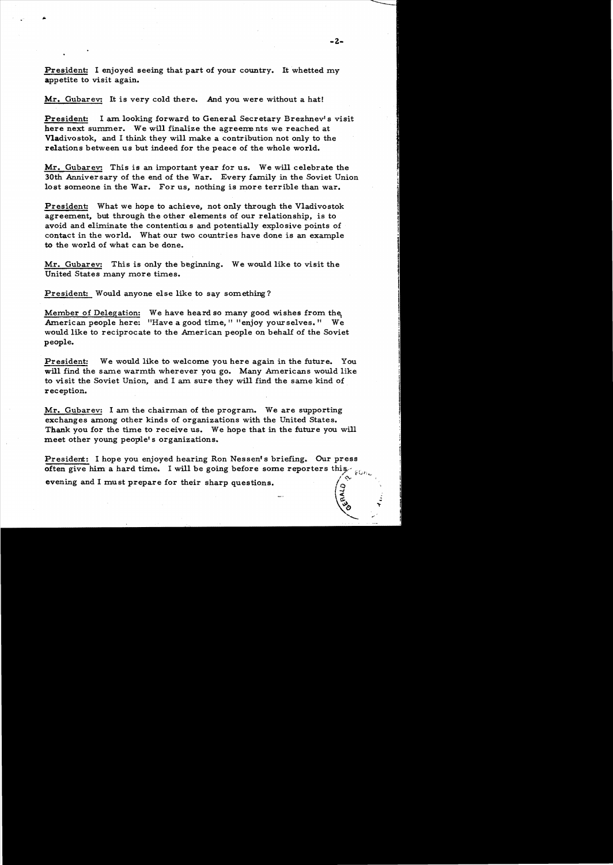President: I enjoyed seeing that part of your country. It whetted my appetite to visit again.

Mr. Gubarev: It is very cold there. And you were without a hat!

President: I am looking forward to General Secretary Brezhnev's visit here next summer. We will finalize the agreements we reached at Vladivostok, and I think they will make a contribution not only to the relations between us but indeed for the peace of the whole world.

Mr. Gubarev: This is an important year for us. We will celebrate the 30th Anniversary of the end of the War. Every family in the Soviet Union lost someone in the War. For us, nothing is more terrible than war.

President: What we hope to achieve, not only through the Vladivostok agreement, but through the other elements of our relationship, is to avoid and eliminate the contentious and potentially explosive points of contact in the world. What our two countries have done is an example to the world of what can be done.

Mr. Gubarev: This is only the beginning. We would like to visit the United States many more times.

President: Would anyone else like to say something?

Member of Delegation: We have heard so many good wishes from the American people here: "Have a good time," "enjoy yourselves." We would like to reciprocate to the American people on behalf of the Soviet people.

President: We would like to welcome you here again in the future. You will find the same warmth wherever you go. Many Americans would like to visit the Soviet Union, and I am sure they will find the same kind of reception.

Mr. Gubarev: I am the chairman of the program. We are supporting exchanges among other kinds of organizations with the United States. Thank you for the time to receive us. We hope that in the future you will meet other young people's organizations.

President: I hope you enjoyed hearing Ron Nessen's briefing. Our press often give him a hard time. I will be going before some reporters this *evening and I must prepare for their sharp questions.* 

**100**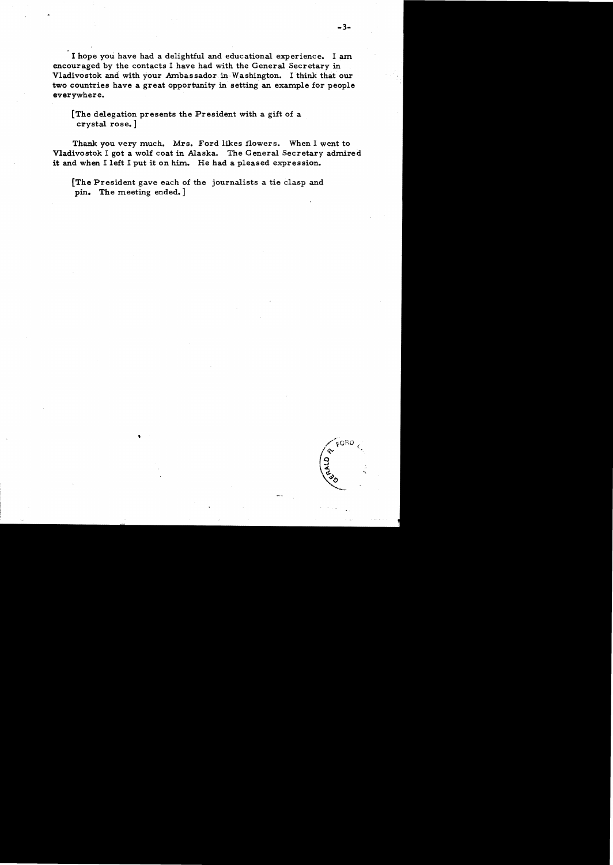I hope you have had a delightful and educational experience. I am encouraged by the contacts I have had with the General Secretary in Vladivostok and with your Ambassador in-Washington. I think that our two countries have a great opportunity in setting an example for people everywhere.

[The delegation presents the President with a gift of a crystal rose. ]

Thank you very much. Mrs. Ford likes flowers. When I went to Vladivostok I got a wolf coat in Alaska. The General Secretary admired it and when I left I put it on him. He had a pleased expression.

[The President gave each of the journalists a tie clasp and pin. The meeting ended.]

,

 $6080$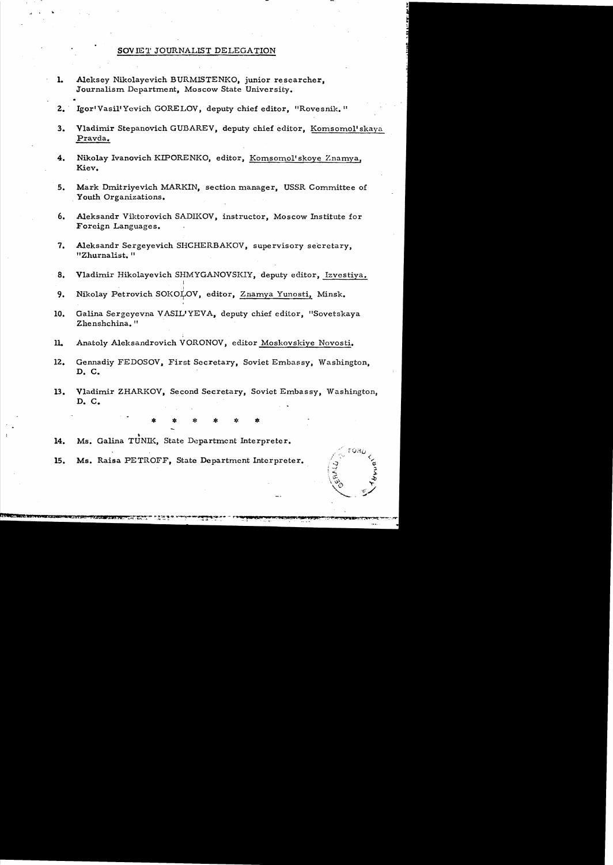## SOV IET JOURNALIST DELEGATION

- 1. Aleksey Nikolayevich BURMISTENKO, junior researcher, Journalism Department, Moscow State University.
- 2. Igor'Vasil'Yevich GORELOV, deputy chief editor, "Rovesnik."
- 3. Vladimir Stepanovich GUBAREV, deputy chief editor, Komsomol'skaya Pravda.
- 4. Nikolay Ivanovich KIPORENKO, editor, Komsomol'skoye Znamya, Kiev.
- 5. Mark Dmitriyevich MARKIN, section manager, USSR Committee of Youth Organizations.
- 6. Aleksandr Viktorovich SADIKOV, instructor, Moscow Institute for Foreign Languages.
- 7. Aleksandr Sergeyevich SHCHERBAKOV, supervisory secretary, "Zhurnalist. "
- 8. Vladimir Hikolayevich SHMYGANOVSKIY, deputy editor, Izvestiya.
- 9. Nikolay Petrovich SOKOLOV, editor, Znamya Yunosti, Minsk.
- 10. Galina Sergeyevna VASIL'YEVA, deputy chief editor, "Sovetskaya Zhenshchina. "
- 11. Anatoly Aleksandrovich VORONOV, editor Moskovskiye Novosti.
- 12. Gennadiy FEDOSOV, First Secretary, Soviet Embassy, Washington, D. C.
- 13. Vladimir ZHARKOV, Second Secretary, Soviet Embassy, Washington,  $D. C.$

\* \* \* \* \* \*<br>\_

14. Ms. Galina TUNIK, State Department Interpreter.

15. Ms. Raisa PETROFF, State Department Interpreter.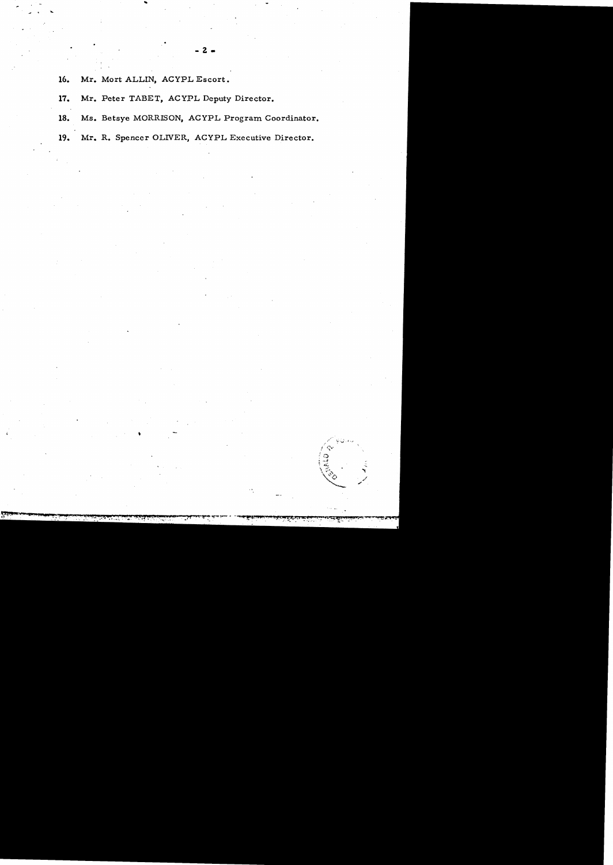16. Mr. Mort ALLIN, ACYPL Escort.

•

..

....

- 17. Mr. Peter TABET, ACYPL Deputy Director.
- 18. Ms. Betsye MORRISON, ACYPL Program Coordinator.

19. Mr. R. Spencer OLIVER, ACYPL Executive Director.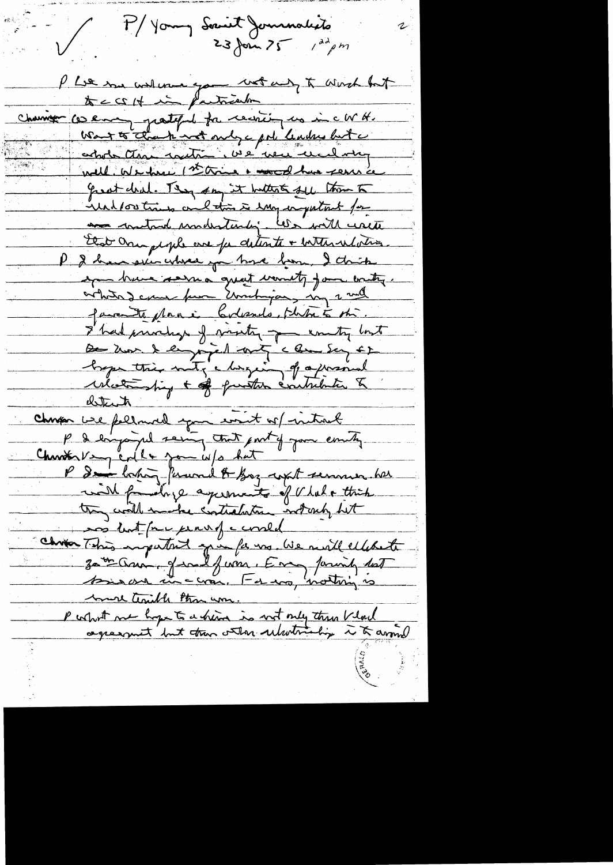My Young Secure Jerusalists  $23$  form  $25$  /dd pm P Lie me walence you wotant to worst but Channer ce enough partipul for recording us in c W H. Wat to thank not only a pol leaders but a actor than with we were und wing well. We have 1st this a wood has seen a great deal. They say it butter fel them to ind for tries and this is important for the control undertaily. We will write that One people are for detente + internations P & have selen where you have been I think ap have served great workty for writing. orbits deme pur Embigas my 2 mil faire te plane bolesnes, philie son I had privating of visity of country lost De hor & enjoyed and a low Say ED hope this not, chargeing of a pressional what hip + of puston contribution & <u>detects</u> chapon une folland your writ of introd P I enjoyed seing that point of your emity. Chanton Very colle jou info hat P I forming forward & Boy with seminar her with four days agreements of V lat a thick they will make contrabation internety but sos hot far perus coned Chron This important que fa vs. We mall ellebeth more traible than um P what me hope to a china is not only then kloud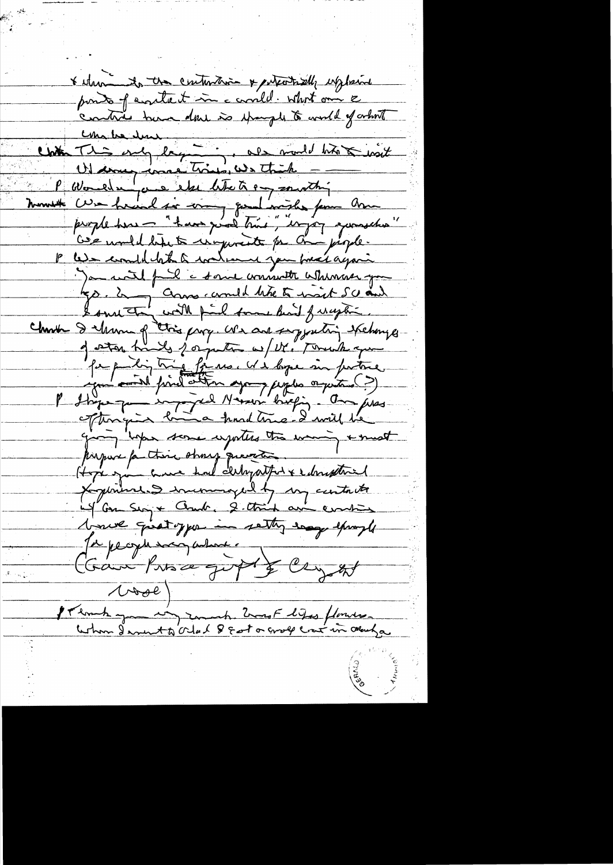& when its the contention & entertailly explosive ponto of eventuat in a consider what one & Chile deux des prodet biologies P Worlden one else like to any southing monst cur haud si com que l'aviste pour Ame P We combletat toden you treat again James and full a some commenter when you go. 2 - Comme comment de to mait 50 and Charles I Murray Chies prog. We are sigged in skehonger pape dig tria fine et élege six patre.<br>Comment pind etter après appelantes ?) afterngin bin a hard tome ! I will be giving hope some exporters too waning & must payaire partire strong quanto 1<br>Hope game avec had clearpathet & changetoint l'aux quatoyer in sette engelement Je pecific saco about a Camilins a gift & cryst  $\wedge \wedge \neg \neg e$ I Thomas you in zonach ZwasF lifes flores